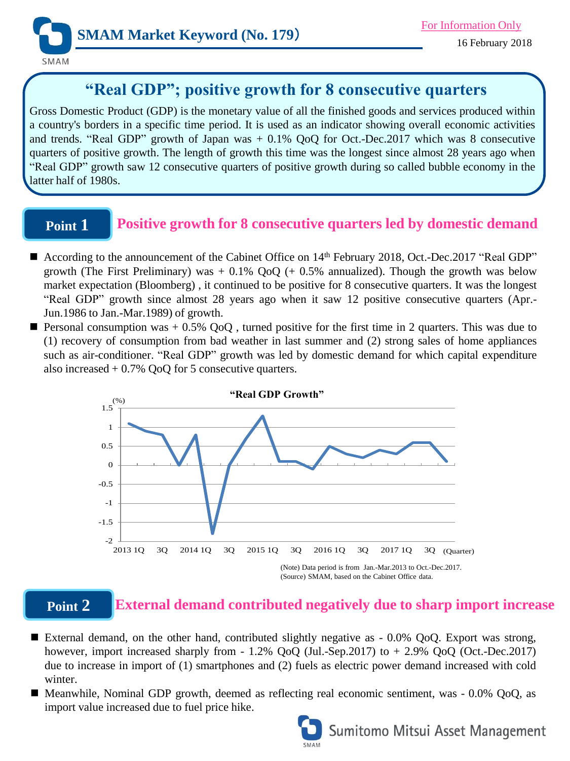

# **"Real GDP"; positive growth for 8 consecutive quarters**

Gross Domestic Product (GDP) is the monetary value of all the finished goods and services produced within a country's borders in a specific time period. It is used as an indicator showing overall economic activities and trends. "Real GDP" growth of Japan was + 0.1% QoQ for Oct.-Dec.2017 which was 8 consecutive quarters of positive growth. The length of growth this time was the longest since almost 28 years ago when "Real GDP" growth saw 12 consecutive quarters of positive growth during so called bubble economy in the latter half of 1980s.

## **Point 1**

## **Positive growth for 8 consecutive quarters led by domestic demand**

- According to the announcement of the Cabinet Office on 14<sup>th</sup> February 2018, Oct.-Dec.2017 "Real GDP" growth (The First Preliminary) was  $+ 0.1\%$  QoQ ( $+ 0.5\%$  annualized). Though the growth was below market expectation (Bloomberg) , it continued to be positive for 8 consecutive quarters. It was the longest "Real GDP" growth since almost 28 years ago when it saw 12 positive consecutive quarters (Apr.- Jun.1986 to Jan.-Mar.1989) of growth.
- **Personal consumption was**  $+ 0.5\%$  **QoQ**, turned positive for the first time in 2 quarters. This was due to (1) recovery of consumption from bad weather in last summer and (2) strong sales of home appliances such as air-conditioner. "Real GDP" growth was led by domestic demand for which capital expenditure also increased  $+ 0.7\%$  QoQ for 5 consecutive quarters.



### **Point 2**

### **External demand contributed negatively due to sharp import increase**

- External demand, on the other hand, contributed slightly negative as 0.0% QoQ. Export was strong, however, import increased sharply from - 1.2% QoQ (Jul.-Sep.2017) to + 2.9% QoQ (Oct.-Dec.2017) due to increase in import of (1) smartphones and (2) fuels as electric power demand increased with cold winter.
- Meanwhile, Nominal GDP growth, deemed as reflecting real economic sentiment, was 0.0% QoQ, as import value increased due to fuel price hike.